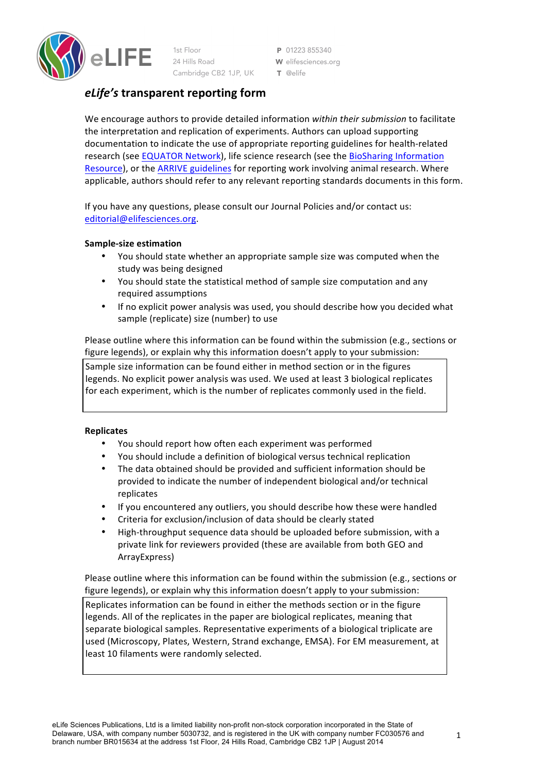

1st Floor 24 Hills Road Cambridge CB2 1JP, UK P 01223 855340 W elifesciences.org T @elife

# *eLife's* **transparent reporting form**

We encourage authors to provide detailed information *within their submission* to facilitate the interpretation and replication of experiments. Authors can upload supporting documentation to indicate the use of appropriate reporting guidelines for health-related research (see EQUATOR Network), life science research (see the BioSharing Information Resource), or the ARRIVE guidelines for reporting work involving animal research. Where applicable, authors should refer to any relevant reporting standards documents in this form.

If you have any questions, please consult our Journal Policies and/or contact us: editorial@elifesciences.org.

# **Sample-size estimation**

- You should state whether an appropriate sample size was computed when the study was being designed
- You should state the statistical method of sample size computation and any required assumptions
- If no explicit power analysis was used, you should describe how you decided what sample (replicate) size (number) to use

Please outline where this information can be found within the submission (e.g., sections or figure legends), or explain why this information doesn't apply to your submission:

Sample size information can be found either in method section or in the figures legends. No explicit power analysis was used. We used at least 3 biological replicates for each experiment, which is the number of replicates commonly used in the field.

# **Replicates**

- You should report how often each experiment was performed
- You should include a definition of biological versus technical replication
- The data obtained should be provided and sufficient information should be provided to indicate the number of independent biological and/or technical replicates
- If you encountered any outliers, you should describe how these were handled
- Criteria for exclusion/inclusion of data should be clearly stated
- High-throughput sequence data should be uploaded before submission, with a private link for reviewers provided (these are available from both GEO and ArrayExpress)

Please outline where this information can be found within the submission (e.g., sections or figure legends), or explain why this information doesn't apply to your submission: Replicates information can be found in either the methods section or in the figure legends. All of the replicates in the paper are biological replicates, meaning that separate biological samples. Representative experiments of a biological triplicate are used (Microscopy, Plates, Western, Strand exchange, EMSA). For EM measurement, at least 10 filaments were randomly selected.